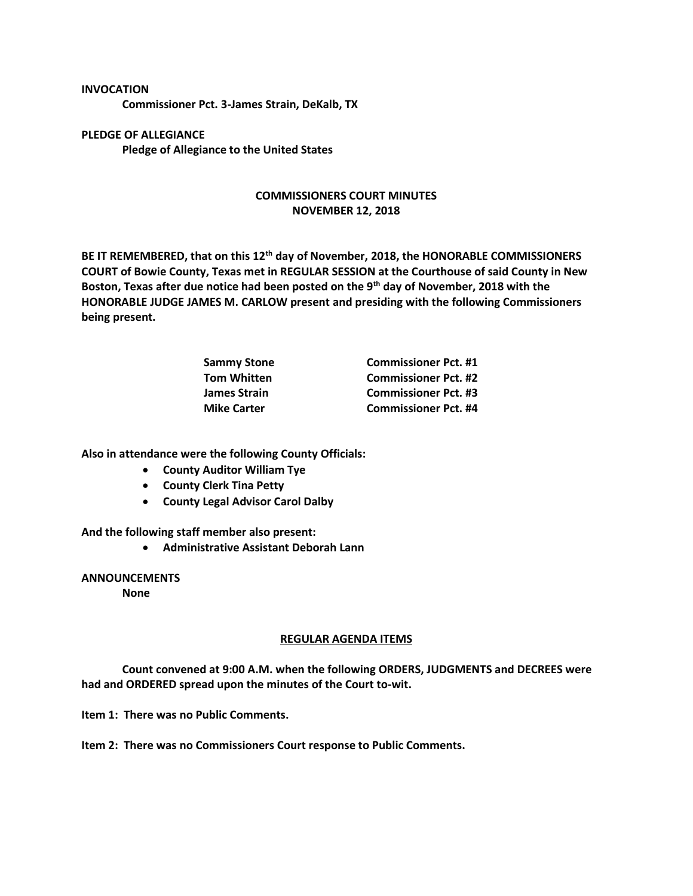## **INVOCATION**

**Commissioner Pct. 3-James Strain, DeKalb, TX**

**PLEDGE OF ALLEGIANCE Pledge of Allegiance to the United States**

## **COMMISSIONERS COURT MINUTES NOVEMBER 12, 2018**

**BE IT REMEMBERED, that on this 12th day of November, 2018, the HONORABLE COMMISSIONERS COURT of Bowie County, Texas met in REGULAR SESSION at the Courthouse of said County in New Boston, Texas after due notice had been posted on the 9th day of November, 2018 with the HONORABLE JUDGE JAMES M. CARLOW present and presiding with the following Commissioners being present.**

| <b>Sammy Stone</b> | <b>Commissioner Pct. #1</b> |
|--------------------|-----------------------------|
| <b>Tom Whitten</b> | <b>Commissioner Pct. #2</b> |
| James Strain       | <b>Commissioner Pct. #3</b> |
| <b>Mike Carter</b> | <b>Commissioner Pct. #4</b> |

**Also in attendance were the following County Officials:**

- **County Auditor William Tye**
- **County Clerk Tina Petty**
- **County Legal Advisor Carol Dalby**

**And the following staff member also present:**

• **Administrative Assistant Deborah Lann**

## **ANNOUNCEMENTS**

**None**

## **REGULAR AGENDA ITEMS**

**Count convened at 9:00 A.M. when the following ORDERS, JUDGMENTS and DECREES were had and ORDERED spread upon the minutes of the Court to-wit.**

**Item 1: There was no Public Comments.**

**Item 2: There was no Commissioners Court response to Public Comments.**